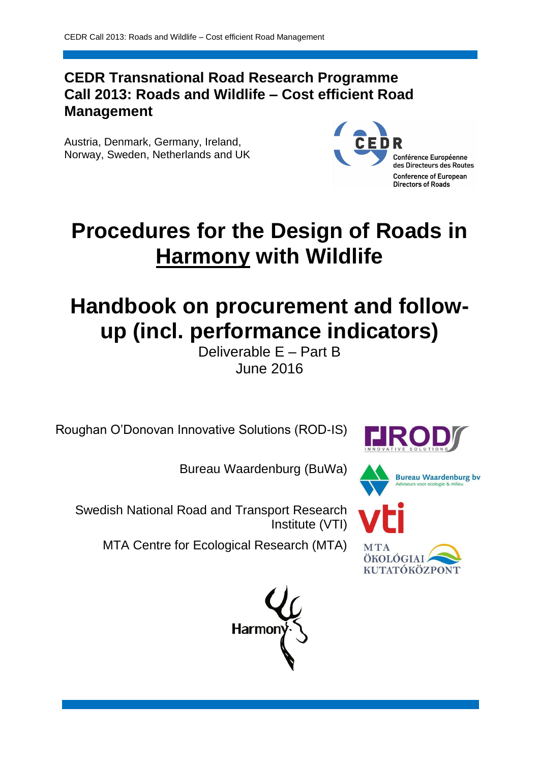# **CEDR Transnational Road Research Programme Call 2013: Roads and Wildlife – Cost efficient Road Management**

Austria, Denmark, Germany, Ireland, Norway, Sweden, Netherlands and UK



# **Procedures for the Design of Roads in Harmony with Wildlife**

# **Handbook on procurement and followup (incl. performance indicators)**

Deliverable E – Part B June 2016

Roughan O'Donovan Innovative Solutions (ROD-IS)

Bureau Waardenburg (BuWa)





Swedish National Road and Transport Research Institute (VTI)

MTA Centre for Ecological Research (MTA)





ÖKOLÓGIA KUTATÓKÖZPONT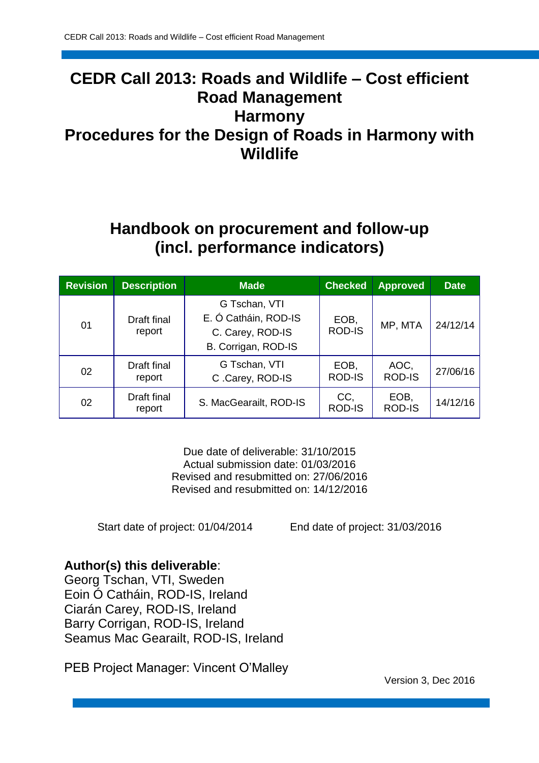# **CEDR Call 2013: Roads and Wildlife – Cost efficient Road Management Harmony Procedures for the Design of Roads in Harmony with Wildlife**

# **Handbook on procurement and follow-up (incl. performance indicators)**

| <b>Revision</b> | <b>Description</b>                              | <b>Made</b>                                                                      | <b>Checked</b>        | <b>Approved</b>       | <b>Date</b> |
|-----------------|-------------------------------------------------|----------------------------------------------------------------------------------|-----------------------|-----------------------|-------------|
| 01              | Draft final<br>report                           | G Tschan, VTI<br>E. Ó Catháin, ROD-IS<br>C. Carey, ROD-IS<br>B. Corrigan, ROD-IS | EOB,<br><b>ROD-IS</b> | MP, MTA               | 24/12/14    |
| 02              | Draft final<br>report                           | G Tschan, VTI<br>C.Carey, ROD-IS                                                 |                       | AOC,<br><b>ROD-IS</b> | 27/06/16    |
| 02              | Draft final<br>S. MacGearailt, ROD-IS<br>report |                                                                                  | CC,<br><b>ROD-IS</b>  | EOB,<br><b>ROD-IS</b> | 14/12/16    |

Due date of deliverable: 31/10/2015 Actual submission date: 01/03/2016 Revised and resubmitted on: 27/06/2016 Revised and resubmitted on: 14/12/2016

Start date of project: 01/04/2014 End date of project: 31/03/2016

### **Author(s) this deliverable**:

Georg Tschan, VTI, Sweden Eoin Ó Catháin, ROD-IS, Ireland Ciarán Carey, ROD-IS, Ireland Barry Corrigan, ROD-IS, Ireland Seamus Mac Gearailt, ROD-IS, Ireland

PEB Project Manager: Vincent O'Malley

Version 3, Dec 2016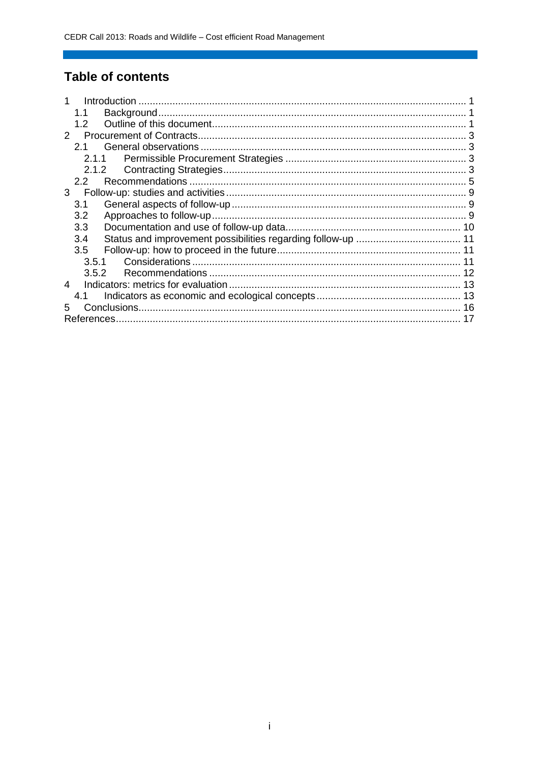# **Table of contents**

|              | 1.1   |  |
|--------------|-------|--|
|              | 1.2   |  |
| $\mathbf{2}$ |       |  |
|              | 2.1   |  |
|              | 2.1.1 |  |
|              |       |  |
|              | 2.2   |  |
| 3            |       |  |
|              | 3.1   |  |
|              | 3.2   |  |
|              | 3.3   |  |
|              | 3.4   |  |
|              | 3.5   |  |
|              | 3.5.1 |  |
|              | 3.5.2 |  |
| 4            |       |  |
|              | 4.1   |  |
| 5            |       |  |
|              |       |  |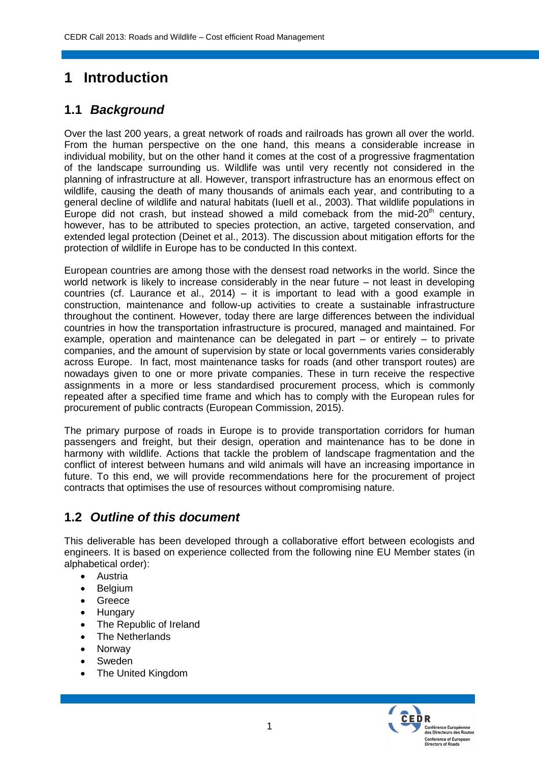# **1 Introduction**

## **1.1** *Background*

Over the last 200 years, a great network of roads and railroads has grown all over the world. From the human perspective on the one hand, this means a considerable increase in individual mobility, but on the other hand it comes at the cost of a progressive fragmentation of the landscape surrounding us. Wildlife was until very recently not considered in the planning of infrastructure at all. However, transport infrastructure has an enormous effect on wildlife, causing the death of many thousands of animals each year, and contributing to a general decline of wildlife and natural habitats (Iuell et al., 2003). That wildlife populations in Europe did not crash, but instead showed a mild comeback from the mid-20<sup>th</sup> century, however, has to be attributed to species protection, an active, targeted conservation, and extended legal protection (Deinet et al., 2013). The discussion about mitigation efforts for the protection of wildlife in Europe has to be conducted In this context.

European countries are among those with the densest road networks in the world. Since the world network is likely to increase considerably in the near future – not least in developing countries (cf. Laurance et al., 2014) – it is important to lead with a good example in construction, maintenance and follow-up activities to create a sustainable infrastructure throughout the continent. However, today there are large differences between the individual countries in how the transportation infrastructure is procured, managed and maintained. For example, operation and maintenance can be delegated in part – or entirely – to private companies, and the amount of supervision by state or local governments varies considerably across Europe. In fact, most maintenance tasks for roads (and other transport routes) are nowadays given to one or more private companies. These in turn receive the respective assignments in a more or less standardised procurement process, which is commonly repeated after a specified time frame and which has to comply with the European rules for procurement of public contracts (European Commission, 2015).

The primary purpose of roads in Europe is to provide transportation corridors for human passengers and freight, but their design, operation and maintenance has to be done in harmony with wildlife. Actions that tackle the problem of landscape fragmentation and the conflict of interest between humans and wild animals will have an increasing importance in future. To this end, we will provide recommendations here for the procurement of project contracts that optimises the use of resources without compromising nature.

## **1.2** *Outline of this document*

This deliverable has been developed through a collaborative effort between ecologists and engineers. It is based on experience collected from the following nine EU Member states (in alphabetical order):

- Austria
- Belgium
- Greece
- Hungary
- The Republic of Ireland
- The Netherlands
- Norway
- Sweden
- The United Kingdom

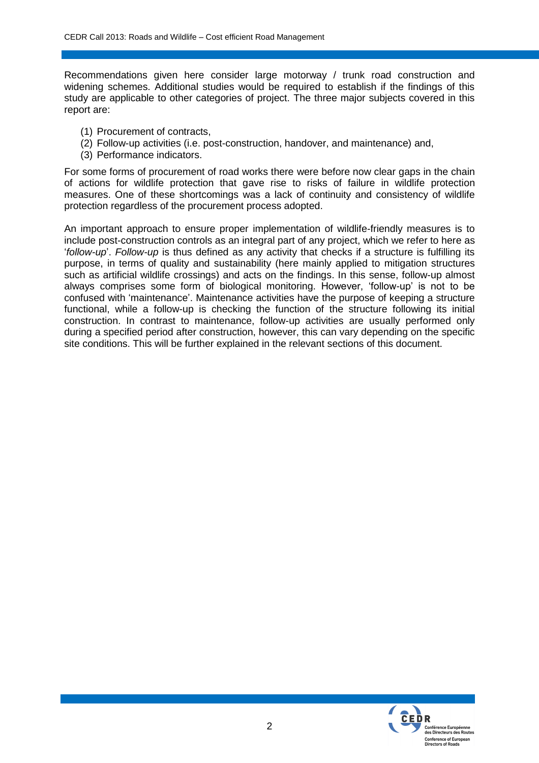Recommendations given here consider large motorway / trunk road construction and widening schemes. Additional studies would be required to establish if the findings of this study are applicable to other categories of project. The three major subjects covered in this report are:

- (1) Procurement of contracts,
- (2) Follow-up activities (i.e. post-construction, handover, and maintenance) and,
- (3) Performance indicators.

For some forms of procurement of road works there were before now clear gaps in the chain of actions for wildlife protection that gave rise to risks of failure in wildlife protection measures. One of these shortcomings was a lack of continuity and consistency of wildlife protection regardless of the procurement process adopted.

An important approach to ensure proper implementation of wildlife-friendly measures is to include post-construction controls as an integral part of any project, which we refer to here as '*follow-up*'. *Follow-up* is thus defined as any activity that checks if a structure is fulfilling its purpose, in terms of quality and sustainability (here mainly applied to mitigation structures such as artificial wildlife crossings) and acts on the findings. In this sense, follow-up almost always comprises some form of biological monitoring. However, 'follow-up' is not to be confused with 'maintenance'. Maintenance activities have the purpose of keeping a structure functional, while a follow-up is checking the function of the structure following its initial construction. In contrast to maintenance, follow-up activities are usually performed only during a specified period after construction, however, this can vary depending on the specific site conditions. This will be further explained in the relevant sections of this document.

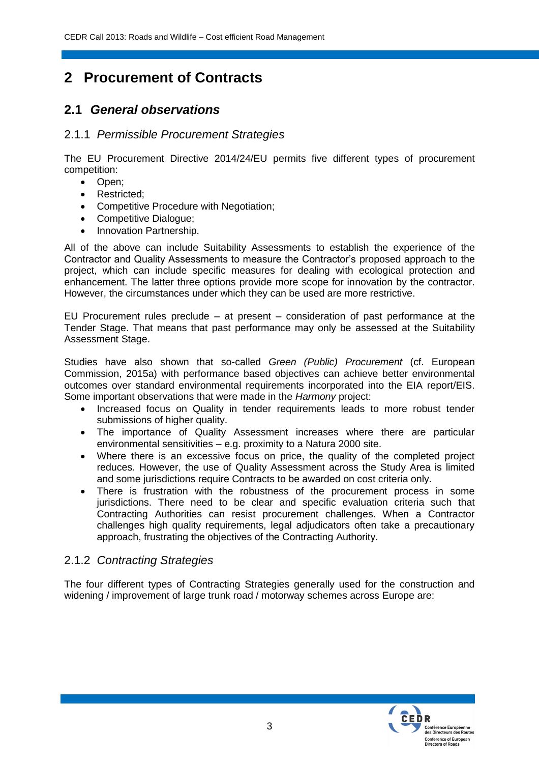# **2 Procurement of Contracts**

### **2.1** *General observations*

#### 2.1.1 *Permissible Procurement Strategies*

The EU Procurement Directive 2014/24/EU permits five different types of procurement competition:

- Open;
- Restricted:
- Competitive Procedure with Negotiation;
- Competitive Dialogue;
- Innovation Partnership.

All of the above can include Suitability Assessments to establish the experience of the Contractor and Quality Assessments to measure the Contractor's proposed approach to the project, which can include specific measures for dealing with ecological protection and enhancement. The latter three options provide more scope for innovation by the contractor. However, the circumstances under which they can be used are more restrictive.

EU Procurement rules preclude – at present – consideration of past performance at the Tender Stage. That means that past performance may only be assessed at the Suitability Assessment Stage.

Studies have also shown that so-called *Green (Public) Procurement* (cf. European Commission, 2015a) with performance based objectives can achieve better environmental outcomes over standard environmental requirements incorporated into the EIA report/EIS. Some important observations that were made in the *Harmony* project:

- Increased focus on Quality in tender requirements leads to more robust tender submissions of higher quality.
- The importance of Quality Assessment increases where there are particular environmental sensitivities – e.g. proximity to a Natura 2000 site.
- Where there is an excessive focus on price, the quality of the completed project reduces. However, the use of Quality Assessment across the Study Area is limited and some jurisdictions require Contracts to be awarded on cost criteria only.
- There is frustration with the robustness of the procurement process in some jurisdictions. There need to be clear and specific evaluation criteria such that Contracting Authorities can resist procurement challenges. When a Contractor challenges high quality requirements, legal adjudicators often take a precautionary approach, frustrating the objectives of the Contracting Authority.

### 2.1.2 *Contracting Strategies*

The four different types of Contracting Strategies generally used for the construction and widening / improvement of large trunk road / motorway schemes across Europe are:

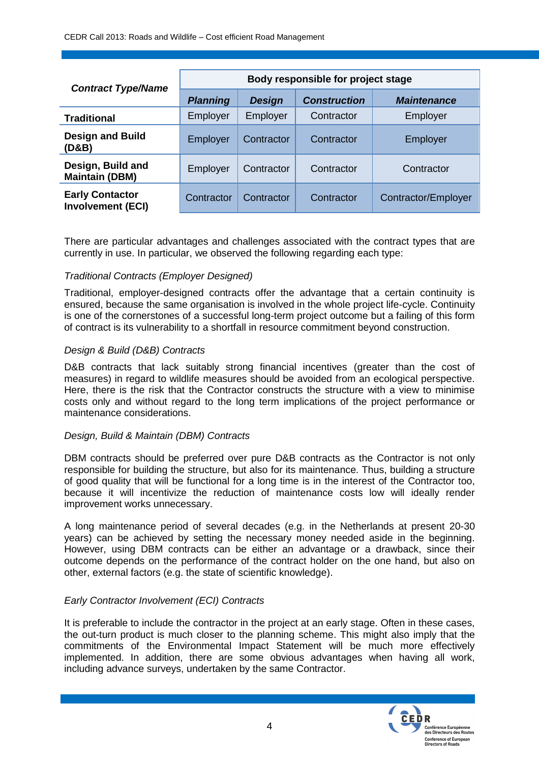| <b>Contract Type/Name</b>                          | Body responsible for project stage |               |                     |                     |  |
|----------------------------------------------------|------------------------------------|---------------|---------------------|---------------------|--|
|                                                    | <b>Planning</b>                    | <b>Design</b> | <b>Construction</b> | <b>Maintenance</b>  |  |
| <b>Traditional</b>                                 | Employer                           | Employer      | Contractor          | Employer            |  |
| <b>Design and Build</b><br>(D&B)                   | Employer                           | Contractor    | Contractor          | Employer            |  |
| Design, Build and<br><b>Maintain (DBM)</b>         | Employer                           | Contractor    | Contractor          | Contractor          |  |
| <b>Early Contactor</b><br><b>Involvement (ECI)</b> | Contractor                         | Contractor    | Contractor          | Contractor/Employer |  |

There are particular advantages and challenges associated with the contract types that are currently in use. In particular, we observed the following regarding each type:

#### *Traditional Contracts (Employer Designed)*

Traditional, employer-designed contracts offer the advantage that a certain continuity is ensured, because the same organisation is involved in the whole project life-cycle. Continuity is one of the cornerstones of a successful long-term project outcome but a failing of this form of contract is its vulnerability to a shortfall in resource commitment beyond construction.

#### *Design & Build (D&B) Contracts*

D&B contracts that lack suitably strong financial incentives (greater than the cost of measures) in regard to wildlife measures should be avoided from an ecological perspective. Here, there is the risk that the Contractor constructs the structure with a view to minimise costs only and without regard to the long term implications of the project performance or maintenance considerations.

#### *Design, Build & Maintain (DBM) Contracts*

DBM contracts should be preferred over pure D&B contracts as the Contractor is not only responsible for building the structure, but also for its maintenance. Thus, building a structure of good quality that will be functional for a long time is in the interest of the Contractor too, because it will incentivize the reduction of maintenance costs low will ideally render improvement works unnecessary.

A long maintenance period of several decades (e.g. in the Netherlands at present 20-30 years) can be achieved by setting the necessary money needed aside in the beginning. However, using DBM contracts can be either an advantage or a drawback, since their outcome depends on the performance of the contract holder on the one hand, but also on other, external factors (e.g. the state of scientific knowledge).

#### *Early Contractor Involvement (ECI) Contracts*

It is preferable to include the contractor in the project at an early stage. Often in these cases, the out-turn product is much closer to the planning scheme. This might also imply that the commitments of the Environmental Impact Statement will be much more effectively implemented. In addition, there are some obvious advantages when having all work, including advance surveys, undertaken by the same Contractor.

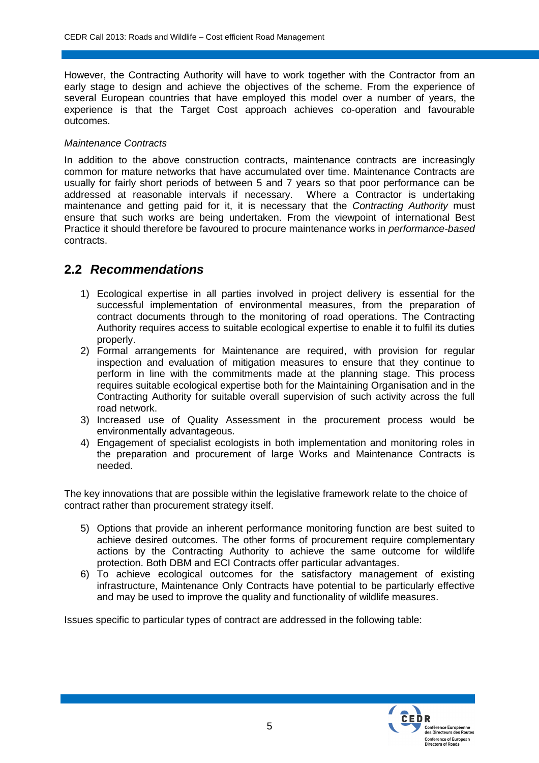However, the Contracting Authority will have to work together with the Contractor from an early stage to design and achieve the objectives of the scheme. From the experience of several European countries that have employed this model over a number of years, the experience is that the Target Cost approach achieves co-operation and favourable outcomes.

#### *Maintenance Contracts*

In addition to the above construction contracts, maintenance contracts are increasingly common for mature networks that have accumulated over time. Maintenance Contracts are usually for fairly short periods of between 5 and 7 years so that poor performance can be addressed at reasonable intervals if necessary. Where a Contractor is undertaking maintenance and getting paid for it, it is necessary that the *Contracting Authority* must ensure that such works are being undertaken. From the viewpoint of international Best Practice it should therefore be favoured to procure maintenance works in *performance-based* contracts.

### **2.2** *Recommendations*

- 1) Ecological expertise in all parties involved in project delivery is essential for the successful implementation of environmental measures, from the preparation of contract documents through to the monitoring of road operations. The Contracting Authority requires access to suitable ecological expertise to enable it to fulfil its duties properly.
- 2) Formal arrangements for Maintenance are required, with provision for regular inspection and evaluation of mitigation measures to ensure that they continue to perform in line with the commitments made at the planning stage. This process requires suitable ecological expertise both for the Maintaining Organisation and in the Contracting Authority for suitable overall supervision of such activity across the full road network.
- 3) Increased use of Quality Assessment in the procurement process would be environmentally advantageous.
- 4) Engagement of specialist ecologists in both implementation and monitoring roles in the preparation and procurement of large Works and Maintenance Contracts is needed.

The key innovations that are possible within the legislative framework relate to the choice of contract rather than procurement strategy itself.

- 5) Options that provide an inherent performance monitoring function are best suited to achieve desired outcomes. The other forms of procurement require complementary actions by the Contracting Authority to achieve the same outcome for wildlife protection. Both DBM and ECI Contracts offer particular advantages.
- 6) To achieve ecological outcomes for the satisfactory management of existing infrastructure, Maintenance Only Contracts have potential to be particularly effective and may be used to improve the quality and functionality of wildlife measures.

Issues specific to particular types of contract are addressed in the following table:

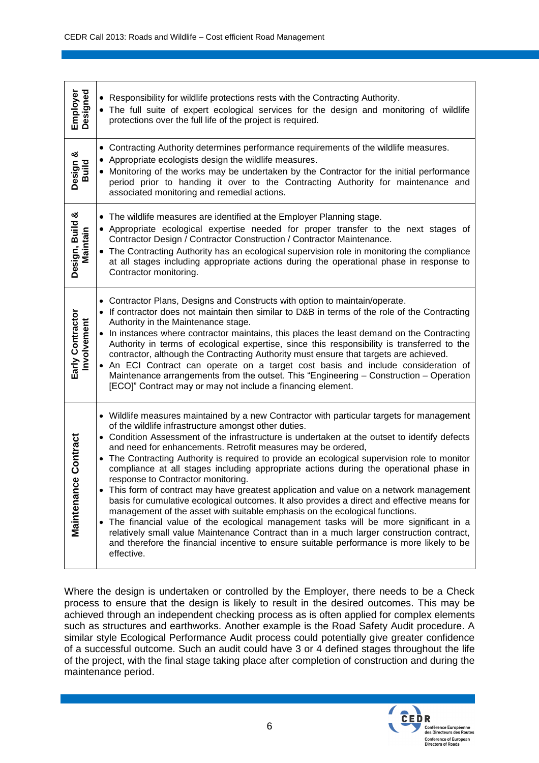| Employer<br>Designed            | • Responsibility for wildlife protections rests with the Contracting Authority.<br>• The full suite of expert ecological services for the design and monitoring of wildlife<br>protections over the full life of the project is required.                                                                                                                                                                                                                                                                                                                                                                                                                                                                                                                                                                                                                                                                                                                                                                                                                                                                                 |
|---------------------------------|---------------------------------------------------------------------------------------------------------------------------------------------------------------------------------------------------------------------------------------------------------------------------------------------------------------------------------------------------------------------------------------------------------------------------------------------------------------------------------------------------------------------------------------------------------------------------------------------------------------------------------------------------------------------------------------------------------------------------------------------------------------------------------------------------------------------------------------------------------------------------------------------------------------------------------------------------------------------------------------------------------------------------------------------------------------------------------------------------------------------------|
| Design &<br>Build               | • Contracting Authority determines performance requirements of the wildlife measures.<br>• Appropriate ecologists design the wildlife measures.<br>• Monitoring of the works may be undertaken by the Contractor for the initial performance<br>period prior to handing it over to the Contracting Authority for maintenance and<br>associated monitoring and remedial actions.                                                                                                                                                                                                                                                                                                                                                                                                                                                                                                                                                                                                                                                                                                                                           |
| Design, Build &<br>Maintain     | • The wildlife measures are identified at the Employer Planning stage.<br>• Appropriate ecological expertise needed for proper transfer to the next stages of<br>Contractor Design / Contractor Construction / Contractor Maintenance.<br>• The Contracting Authority has an ecological supervision role in monitoring the compliance<br>at all stages including appropriate actions during the operational phase in response to<br>Contractor monitoring.                                                                                                                                                                                                                                                                                                                                                                                                                                                                                                                                                                                                                                                                |
| Early Contractor<br>Involvement | • Contractor Plans, Designs and Constructs with option to maintain/operate.<br>• If contractor does not maintain then similar to D&B in terms of the role of the Contracting<br>Authority in the Maintenance stage.<br>• In instances where contractor maintains, this places the least demand on the Contracting<br>Authority in terms of ecological expertise, since this responsibility is transferred to the<br>contractor, although the Contracting Authority must ensure that targets are achieved.<br>• An ECI Contract can operate on a target cost basis and include consideration of<br>Maintenance arrangements from the outset. This "Engineering - Construction - Operation<br>[ECO]" Contract may or may not include a financing element.                                                                                                                                                                                                                                                                                                                                                                   |
| ce Contract<br>Maintenan        | • Wildlife measures maintained by a new Contractor with particular targets for management<br>of the wildlife infrastructure amongst other duties.<br>• Condition Assessment of the infrastructure is undertaken at the outset to identify defects<br>and need for enhancements. Retrofit measures may be ordered,<br>• The Contracting Authority is required to provide an ecological supervision role to monitor<br>compliance at all stages including appropriate actions during the operational phase in<br>response to Contractor monitoring.<br>This form of contract may have greatest application and value on a network management<br>basis for cumulative ecological outcomes. It also provides a direct and effective means for<br>management of the asset with suitable emphasis on the ecological functions.<br>• The financial value of the ecological management tasks will be more significant in a<br>relatively small value Maintenance Contract than in a much larger construction contract,<br>and therefore the financial incentive to ensure suitable performance is more likely to be<br>effective. |

Where the design is undertaken or controlled by the Employer, there needs to be a Check process to ensure that the design is likely to result in the desired outcomes. This may be achieved through an independent checking process as is often applied for complex elements such as structures and earthworks. Another example is the Road Safety Audit procedure. A similar style Ecological Performance Audit process could potentially give greater confidence of a successful outcome. Such an audit could have 3 or 4 defined stages throughout the life of the project, with the final stage taking place after completion of construction and during the maintenance period.

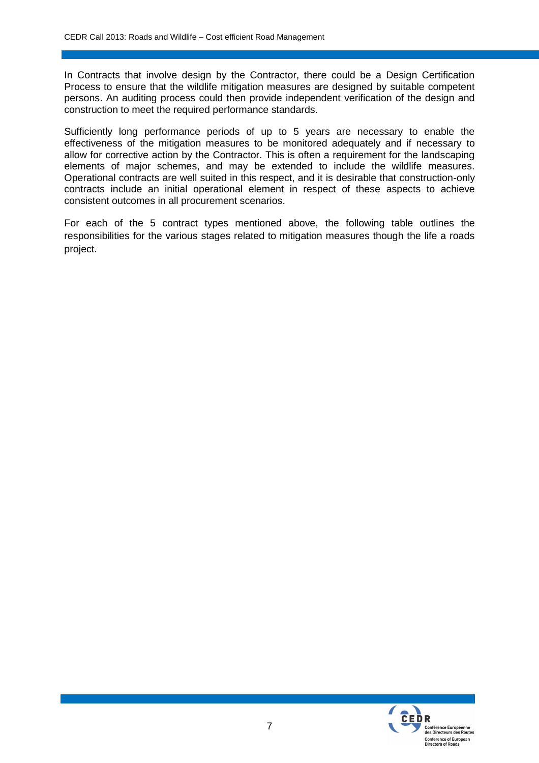In Contracts that involve design by the Contractor, there could be a Design Certification Process to ensure that the wildlife mitigation measures are designed by suitable competent persons. An auditing process could then provide independent verification of the design and construction to meet the required performance standards.

Sufficiently long performance periods of up to 5 years are necessary to enable the effectiveness of the mitigation measures to be monitored adequately and if necessary to allow for corrective action by the Contractor. This is often a requirement for the landscaping elements of major schemes, and may be extended to include the wildlife measures. Operational contracts are well suited in this respect, and it is desirable that construction-only contracts include an initial operational element in respect of these aspects to achieve consistent outcomes in all procurement scenarios.

For each of the 5 contract types mentioned above, the following table outlines the responsibilities for the various stages related to mitigation measures though the life a roads project.

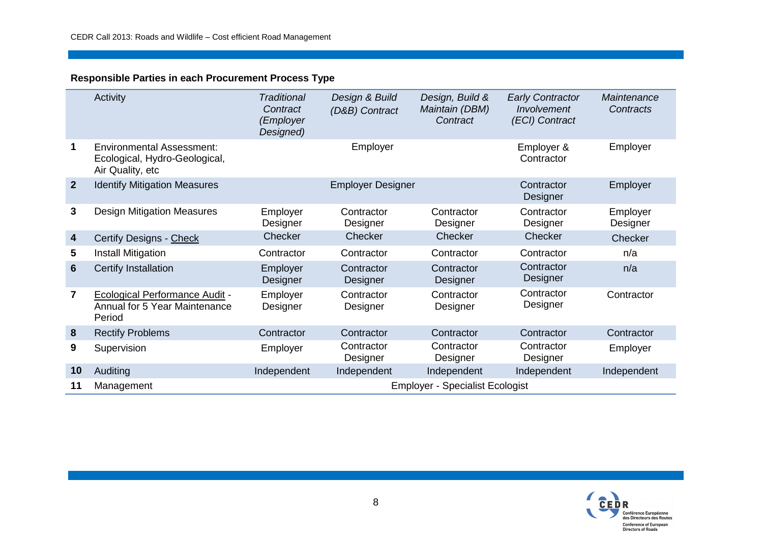#### **Responsible Parties in each Procurement Process Type**

|                | Activity                                                                              | <b>Traditional</b><br>Contract<br>(Employer<br>Designed) | Design & Build<br>(D&B) Contract | Design, Build &<br>Maintain (DBM)<br>Contract | <b>Early Contractor</b><br>Involvement<br>(ECI) Contract | Maintenance<br>Contracts |
|----------------|---------------------------------------------------------------------------------------|----------------------------------------------------------|----------------------------------|-----------------------------------------------|----------------------------------------------------------|--------------------------|
| 1              | <b>Environmental Assessment:</b><br>Ecological, Hydro-Geological,<br>Air Quality, etc |                                                          | Employer                         |                                               | Employer &<br>Contractor                                 | Employer                 |
| $\overline{2}$ | <b>Identify Mitigation Measures</b>                                                   |                                                          | <b>Employer Designer</b>         |                                               | Contractor<br>Designer                                   | Employer                 |
| 3              | <b>Design Mitigation Measures</b>                                                     | Employer<br>Designer                                     | Contractor<br>Designer           | Contractor<br>Designer                        | Contractor<br>Designer                                   | Employer<br>Designer     |
| 4              | <b>Certify Designs - Check</b>                                                        | Checker                                                  | Checker                          | Checker                                       | Checker                                                  | Checker                  |
| 5              | <b>Install Mitigation</b>                                                             | Contractor                                               | Contractor                       | Contractor                                    | Contractor                                               | n/a                      |
| 6              | Certify Installation                                                                  | Employer<br>Designer                                     | Contractor<br>Designer           | Contractor<br>Designer                        | Contractor<br>Designer                                   | n/a                      |
| 7              | <b>Ecological Performance Audit -</b><br>Annual for 5 Year Maintenance<br>Period      | Employer<br>Designer                                     | Contractor<br>Designer           | Contractor<br>Designer                        | Contractor<br>Designer                                   | Contractor               |
| 8              | <b>Rectify Problems</b>                                                               | Contractor                                               | Contractor                       | Contractor                                    | Contractor                                               | Contractor               |
| 9              | Supervision                                                                           | Employer                                                 | Contractor<br>Designer           | Contractor<br>Designer                        | Contractor<br>Designer                                   | Employer                 |
| 10             | Auditing                                                                              | Independent                                              | Independent                      | Independent                                   | Independent                                              | Independent              |
| 11             | <b>Employer - Specialist Ecologist</b><br>Management                                  |                                                          |                                  |                                               |                                                          |                          |

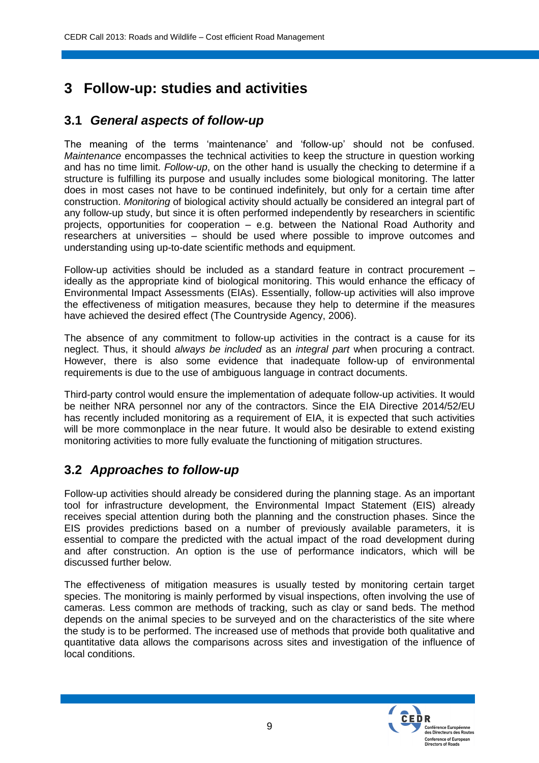# **3 Follow-up: studies and activities**

### **3.1** *General aspects of follow-up*

The meaning of the terms 'maintenance' and 'follow-up' should not be confused. *Maintenance* encompasses the technical activities to keep the structure in question working and has no time limit. *Follow-up*, on the other hand is usually the checking to determine if a structure is fulfilling its purpose and usually includes some biological monitoring. The latter does in most cases not have to be continued indefinitely, but only for a certain time after construction. *Monitoring* of biological activity should actually be considered an integral part of any follow-up study, but since it is often performed independently by researchers in scientific projects, opportunities for cooperation – e.g. between the National Road Authority and researchers at universities – should be used where possible to improve outcomes and understanding using up-to-date scientific methods and equipment.

Follow-up activities should be included as a standard feature in contract procurement – ideally as the appropriate kind of biological monitoring. This would enhance the efficacy of Environmental Impact Assessments (EIAs). Essentially, follow-up activities will also improve the effectiveness of mitigation measures, because they help to determine if the measures have achieved the desired effect (The Countryside Agency, 2006).

The absence of any commitment to follow-up activities in the contract is a cause for its neglect. Thus, it should *always be included* as an *integral part* when procuring a contract. However, there is also some evidence that inadequate follow-up of environmental requirements is due to the use of ambiguous language in contract documents.

Third-party control would ensure the implementation of adequate follow-up activities. It would be neither NRA personnel nor any of the contractors. Since the EIA Directive 2014/52/EU has recently included monitoring as a requirement of EIA, it is expected that such activities will be more commonplace in the near future. It would also be desirable to extend existing monitoring activities to more fully evaluate the functioning of mitigation structures.

### **3.2** *Approaches to follow-up*

Follow-up activities should already be considered during the planning stage. As an important tool for infrastructure development, the Environmental Impact Statement (EIS) already receives special attention during both the planning and the construction phases. Since the EIS provides predictions based on a number of previously available parameters, it is essential to compare the predicted with the actual impact of the road development during and after construction. An option is the use of performance indicators, which will be discussed further below.

The effectiveness of mitigation measures is usually tested by monitoring certain target species. The monitoring is mainly performed by visual inspections, often involving the use of cameras. Less common are methods of tracking, such as clay or sand beds. The method depends on the animal species to be surveyed and on the characteristics of the site where the study is to be performed. The increased use of methods that provide both qualitative and quantitative data allows the comparisons across sites and investigation of the influence of local conditions.

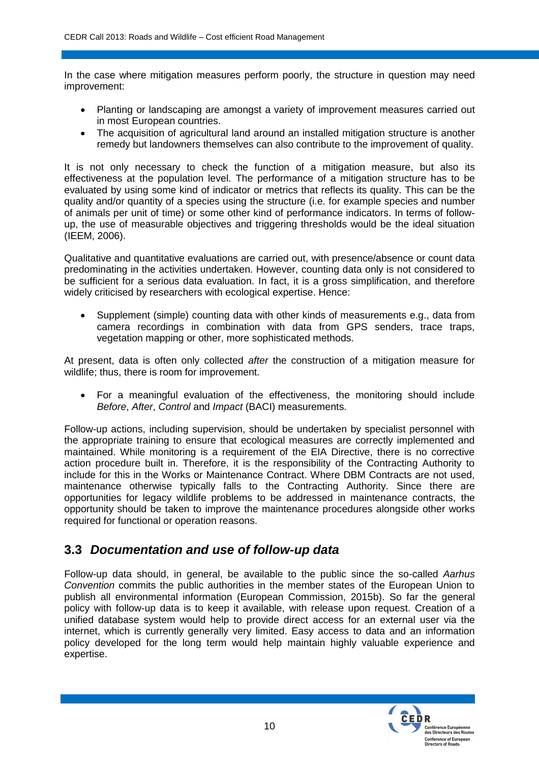In the case where mitigation measures perform poorly, the structure in question may need improvement:

- Planting or landscaping are amongst a variety of improvement measures carried out in most European countries.
- The acquisition of agricultural land around an installed mitigation structure is another remedy but landowners themselves can also contribute to the improvement of quality.

It is not only necessary to check the function of a mitigation measure, but also its effectiveness at the population level. The performance of a mitigation structure has to be evaluated by using some kind of indicator or metrics that reflects its quality. This can be the quality and/or quantity of a species using the structure (i.e. for example species and number of animals per unit of time) or some other kind of performance indicators. In terms of followup, the use of measurable objectives and triggering thresholds would be the ideal situation (IEEM, 2006).

Qualitative and quantitative evaluations are carried out, with presence/absence or count data predominating in the activities undertaken. However, counting data only is not considered to be sufficient for a serious data evaluation. In fact, it is a gross simplification, and therefore widely criticised by researchers with ecological expertise. Hence:

 Supplement (simple) counting data with other kinds of measurements e.g., data from camera recordings in combination with data from GPS senders, trace traps, vegetation mapping or other, more sophisticated methods.

At present, data is often only collected *after* the construction of a mitigation measure for wildlife; thus, there is room for improvement.

 For a meaningful evaluation of the effectiveness, the monitoring should include *Before*, *After*, *Control* and *Impact* (BACI) measurements.

Follow-up actions, including supervision, should be undertaken by specialist personnel with the appropriate training to ensure that ecological measures are correctly implemented and maintained. While monitoring is a requirement of the EIA Directive, there is no corrective action procedure built in. Therefore, it is the responsibility of the Contracting Authority to include for this in the Works or Maintenance Contract. Where DBM Contracts are not used, maintenance otherwise typically falls to the Contracting Authority. Since there are opportunities for legacy wildlife problems to be addressed in maintenance contracts, the opportunity should be taken to improve the maintenance procedures alongside other works required for functional or operation reasons.

### **3.3** *Documentation and use of follow-up data*

Follow-up data should, in general, be available to the public since the so-called *Aarhus Convention* commits the public authorities in the member states of the European Union to publish all environmental information (European Commission, 2015b). So far the general policy with follow-up data is to keep it available, with release upon request. Creation of a unified database system would help to provide direct access for an external user via the internet, which is currently generally very limited. Easy access to data and an information policy developed for the long term would help maintain highly valuable experience and expertise.

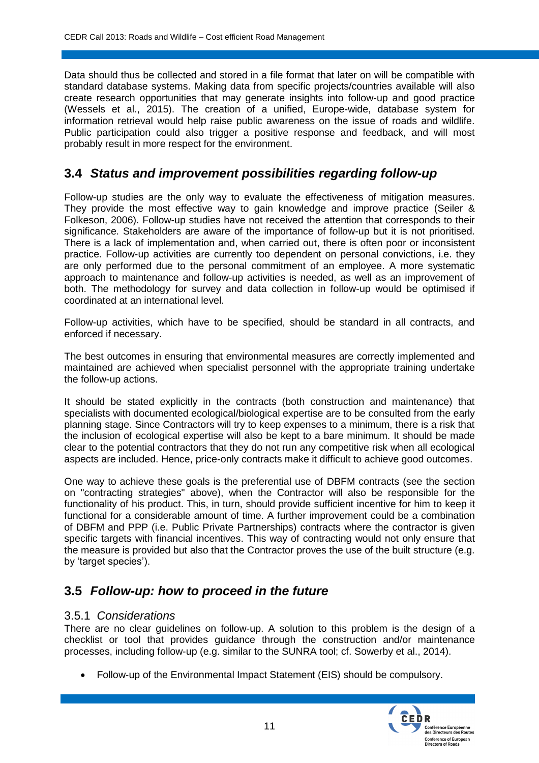Data should thus be collected and stored in a file format that later on will be compatible with standard database systems. Making data from specific projects/countries available will also create research opportunities that may generate insights into follow-up and good practice (Wessels et al., 2015). The creation of a unified, Europe-wide, database system for information retrieval would help raise public awareness on the issue of roads and wildlife. Public participation could also trigger a positive response and feedback, and will most probably result in more respect for the environment.

### **3.4** *Status and improvement possibilities regarding follow-up*

Follow-up studies are the only way to evaluate the effectiveness of mitigation measures. They provide the most effective way to gain knowledge and improve practice (Seiler & Folkeson, 2006). Follow-up studies have not received the attention that corresponds to their significance. Stakeholders are aware of the importance of follow-up but it is not prioritised. There is a lack of implementation and, when carried out, there is often poor or inconsistent practice. Follow-up activities are currently too dependent on personal convictions, i.e. they are only performed due to the personal commitment of an employee. A more systematic approach to maintenance and follow-up activities is needed, as well as an improvement of both. The methodology for survey and data collection in follow-up would be optimised if coordinated at an international level.

Follow-up activities, which have to be specified, should be standard in all contracts, and enforced if necessary.

The best outcomes in ensuring that environmental measures are correctly implemented and maintained are achieved when specialist personnel with the appropriate training undertake the follow-up actions.

It should be stated explicitly in the contracts (both construction and maintenance) that specialists with documented ecological/biological expertise are to be consulted from the early planning stage. Since Contractors will try to keep expenses to a minimum, there is a risk that the inclusion of ecological expertise will also be kept to a bare minimum. It should be made clear to the potential contractors that they do not run any competitive risk when all ecological aspects are included. Hence, price-only contracts make it difficult to achieve good outcomes.

One way to achieve these goals is the preferential use of DBFM contracts (see the section on "contracting strategies" above), when the Contractor will also be responsible for the functionality of his product. This, in turn, should provide sufficient incentive for him to keep it functional for a considerable amount of time. A further improvement could be a combination of DBFM and PPP (i.e. Public Private Partnerships) contracts where the contractor is given specific targets with financial incentives. This way of contracting would not only ensure that the measure is provided but also that the Contractor proves the use of the built structure (e.g. by 'target species').

### **3.5** *Follow-up: how to proceed in the future*

#### 3.5.1 *Considerations*

There are no clear guidelines on follow-up. A solution to this problem is the design of a checklist or tool that provides guidance through the construction and/or maintenance processes, including follow-up (e.g. similar to the SUNRA tool; cf. Sowerby et al., 2014).

Follow-up of the Environmental Impact Statement (EIS) should be compulsory.

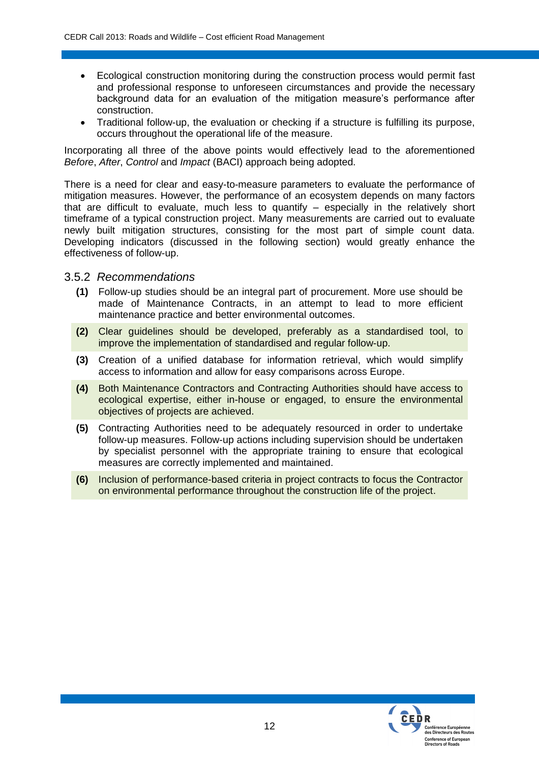- Ecological construction monitoring during the construction process would permit fast and professional response to unforeseen circumstances and provide the necessary background data for an evaluation of the mitigation measure's performance after construction.
- Traditional follow-up, the evaluation or checking if a structure is fulfilling its purpose, occurs throughout the operational life of the measure.

Incorporating all three of the above points would effectively lead to the aforementioned *Before*, *After*, *Control* and *Impact* (BACI) approach being adopted.

There is a need for clear and easy-to-measure parameters to evaluate the performance of mitigation measures. However, the performance of an ecosystem depends on many factors that are difficult to evaluate, much less to quantify – especially in the relatively short timeframe of a typical construction project. Many measurements are carried out to evaluate newly built mitigation structures, consisting for the most part of simple count data. Developing indicators (discussed in the following section) would greatly enhance the effectiveness of follow-up.

#### 3.5.2 *Recommendations*

- **(1)** Follow-up studies should be an integral part of procurement. More use should be made of Maintenance Contracts, in an attempt to lead to more efficient maintenance practice and better environmental outcomes.
- **(2)** Clear guidelines should be developed, preferably as a standardised tool, to improve the implementation of standardised and regular follow-up.
- **(3)** Creation of a unified database for information retrieval, which would simplify access to information and allow for easy comparisons across Europe.
- **(4)** Both Maintenance Contractors and Contracting Authorities should have access to ecological expertise, either in-house or engaged, to ensure the environmental objectives of projects are achieved.
- **(5)** Contracting Authorities need to be adequately resourced in order to undertake follow-up measures. Follow-up actions including supervision should be undertaken by specialist personnel with the appropriate training to ensure that ecological measures are correctly implemented and maintained.
- **(6)** Inclusion of performance-based criteria in project contracts to focus the Contractor on environmental performance throughout the construction life of the project.

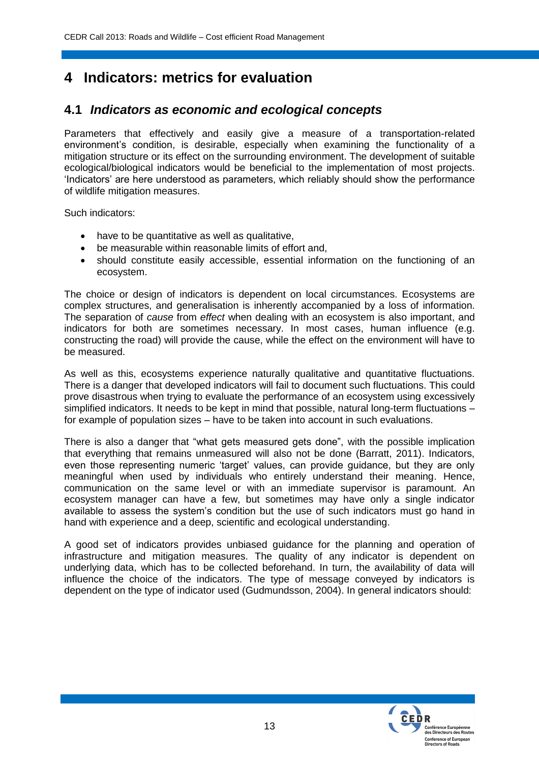# **4 Indicators: metrics for evaluation**

### **4.1** *Indicators as economic and ecological concepts*

Parameters that effectively and easily give a measure of a transportation-related environment's condition, is desirable, especially when examining the functionality of a mitigation structure or its effect on the surrounding environment. The development of suitable ecological/biological indicators would be beneficial to the implementation of most projects. 'Indicators' are here understood as parameters, which reliably should show the performance of wildlife mitigation measures.

Such indicators:

- have to be quantitative as well as qualitative,
- be measurable within reasonable limits of effort and,
- should constitute easily accessible, essential information on the functioning of an ecosystem.

The choice or design of indicators is dependent on local circumstances. Ecosystems are complex structures, and generalisation is inherently accompanied by a loss of information. The separation of *cause* from *effect* when dealing with an ecosystem is also important, and indicators for both are sometimes necessary. In most cases, human influence (e.g. constructing the road) will provide the cause, while the effect on the environment will have to be measured.

As well as this, ecosystems experience naturally qualitative and quantitative fluctuations. There is a danger that developed indicators will fail to document such fluctuations. This could prove disastrous when trying to evaluate the performance of an ecosystem using excessively simplified indicators. It needs to be kept in mind that possible, natural long-term fluctuations – for example of population sizes – have to be taken into account in such evaluations.

There is also a danger that "what gets measured gets done", with the possible implication that everything that remains unmeasured will also not be done (Barratt, 2011). Indicators, even those representing numeric 'target' values, can provide guidance, but they are only meaningful when used by individuals who entirely understand their meaning. Hence, communication on the same level or with an immediate supervisor is paramount. An ecosystem manager can have a few, but sometimes may have only a single indicator available to assess the system's condition but the use of such indicators must go hand in hand with experience and a deep, scientific and ecological understanding.

A good set of indicators provides unbiased guidance for the planning and operation of infrastructure and mitigation measures. The quality of any indicator is dependent on underlying data, which has to be collected beforehand. In turn, the availability of data will influence the choice of the indicators. The type of message conveyed by indicators is dependent on the type of indicator used (Gudmundsson, 2004). In general indicators should:

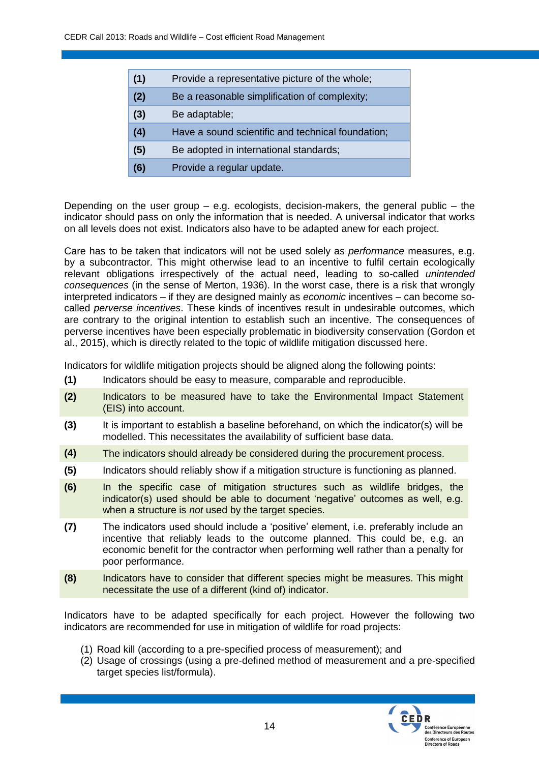| (1)<br>Provide a representative picture of the whole; |  |
|-------------------------------------------------------|--|
|-------------------------------------------------------|--|

- **(2)** Be a reasonable simplification of complexity;
- **(3)** Be adaptable;
- **(4)** Have a sound scientific and technical foundation;
- **(5)** Be adopted in international standards;
- **(6)** Provide a regular update.

Depending on the user group  $-$  e.g. ecologists, decision-makers, the general public  $-$  the indicator should pass on only the information that is needed. A universal indicator that works on all levels does not exist. Indicators also have to be adapted anew for each project.

Care has to be taken that indicators will not be used solely as *performance* measures, e.g. by a subcontractor. This might otherwise lead to an incentive to fulfil certain ecologically relevant obligations irrespectively of the actual need, leading to so-called *unintended consequences* (in the sense of Merton, 1936). In the worst case, there is a risk that wrongly interpreted indicators – if they are designed mainly as *economic* incentives – can become socalled *perverse incentives*. These kinds of incentives result in undesirable outcomes, which are contrary to the original intention to establish such an incentive. The consequences of perverse incentives have been especially problematic in biodiversity conservation (Gordon et al., 2015), which is directly related to the topic of wildlife mitigation discussed here.

Indicators for wildlife mitigation projects should be aligned along the following points:

- **(1)** Indicators should be easy to measure, comparable and reproducible.
- **(2)** Indicators to be measured have to take the Environmental Impact Statement (EIS) into account.
- **(3)** It is important to establish a baseline beforehand, on which the indicator(s) will be modelled. This necessitates the availability of sufficient base data.
- **(4)** The indicators should already be considered during the procurement process.
- **(5)** Indicators should reliably show if a mitigation structure is functioning as planned.
- **(6)** In the specific case of mitigation structures such as wildlife bridges, the indicator(s) used should be able to document 'negative' outcomes as well, e.g. when a structure is *not* used by the target species.
- **(7)** The indicators used should include a 'positive' element, i.e. preferably include an incentive that reliably leads to the outcome planned. This could be, e.g. an economic benefit for the contractor when performing well rather than a penalty for poor performance.
- **(8)** Indicators have to consider that different species might be measures. This might necessitate the use of a different (kind of) indicator.

Indicators have to be adapted specifically for each project. However the following two indicators are recommended for use in mitigation of wildlife for road projects:

- (1) Road kill (according to a pre-specified process of measurement); and
- (2) Usage of crossings (using a pre-defined method of measurement and a pre-specified target species list/formula).

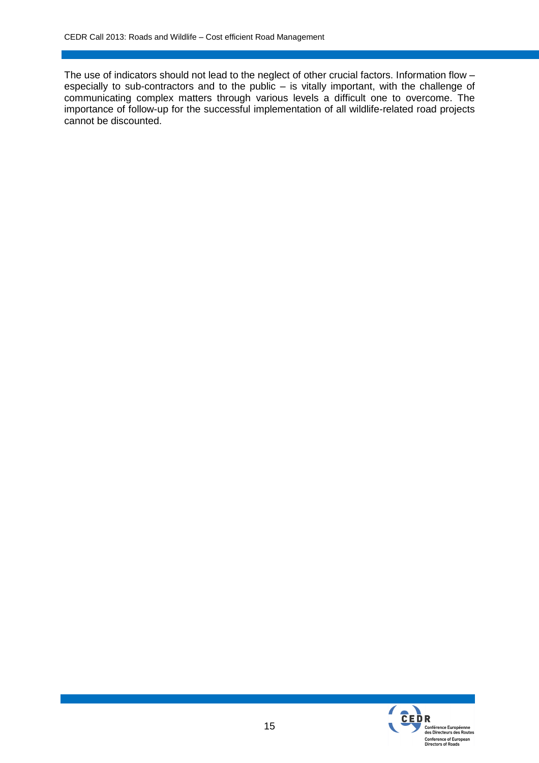The use of indicators should not lead to the neglect of other crucial factors. Information flow – especially to sub-contractors and to the public – is vitally important, with the challenge of communicating complex matters through various levels a difficult one to overcome. The importance of follow-up for the successful implementation of all wildlife-related road projects cannot be discounted.

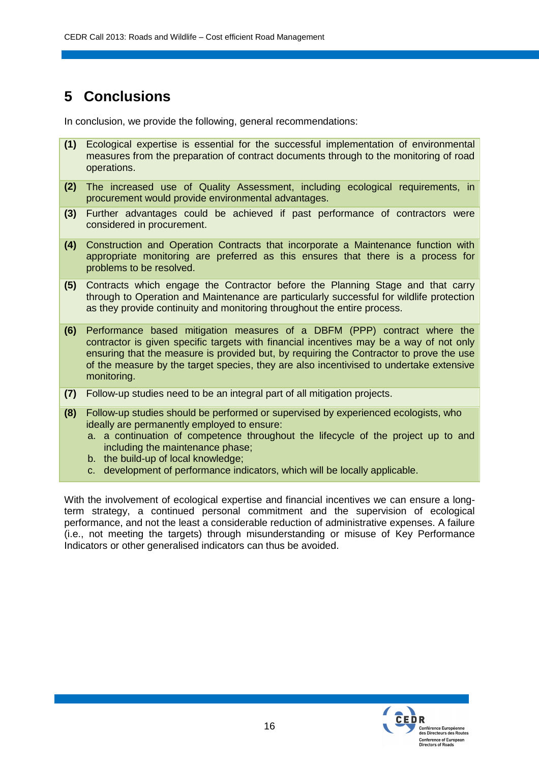# **5 Conclusions**

In conclusion, we provide the following, general recommendations:

- **(1)** Ecological expertise is essential for the successful implementation of environmental measures from the preparation of contract documents through to the monitoring of road operations.
- **(2)** The increased use of Quality Assessment, including ecological requirements, in procurement would provide environmental advantages.
- **(3)** Further advantages could be achieved if past performance of contractors were considered in procurement.
- **(4)** Construction and Operation Contracts that incorporate a Maintenance function with appropriate monitoring are preferred as this ensures that there is a process for problems to be resolved.
- **(5)** Contracts which engage the Contractor before the Planning Stage and that carry through to Operation and Maintenance are particularly successful for wildlife protection as they provide continuity and monitoring throughout the entire process.
- **(6)** Performance based mitigation measures of a DBFM (PPP) contract where the contractor is given specific targets with financial incentives may be a way of not only ensuring that the measure is provided but, by requiring the Contractor to prove the use of the measure by the target species, they are also incentivised to undertake extensive monitoring.
- **(7)** Follow-up studies need to be an integral part of all mitigation projects.
- **(8)** Follow-up studies should be performed or supervised by experienced ecologists, who ideally are permanently employed to ensure:
	- a. a continuation of competence throughout the lifecycle of the project up to and including the maintenance phase;
	- b. the build-up of local knowledge;
	- c. development of performance indicators, which will be locally applicable.

With the involvement of ecological expertise and financial incentives we can ensure a longterm strategy, a continued personal commitment and the supervision of ecological performance, and not the least a considerable reduction of administrative expenses. A failure (i.e., not meeting the targets) through misunderstanding or misuse of Key Performance Indicators or other generalised indicators can thus be avoided.